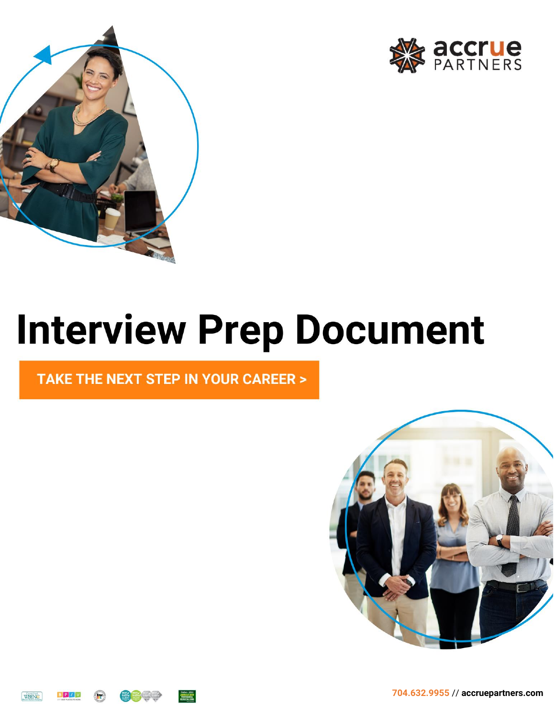



WBENG

# **Interview Prep Document**

**TAKE THE NEXT STEP IN YOUR CAREER >** 



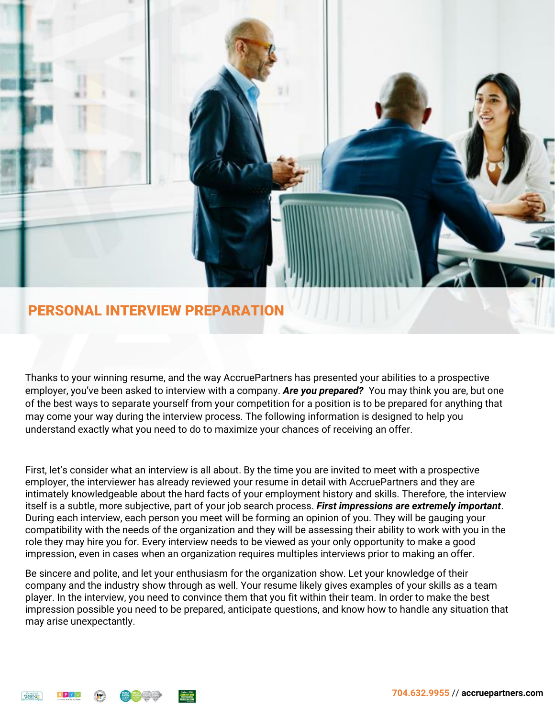

Thanks to your winning resume, and the way AccruePartners has presented your abilities to a prospective employer, you've been asked to interview with a company. *Are you prepared?* You may think you are, but one of the best ways to separate yourself from your competition for a position is to be prepared for anything that may come your way during the interview process. The following information is designed to help you understand exactly what you need to do to maximize your chances of receiving an offer.

First, let's consider what an interview is all about. By the time you are invited to meet with a prospective employer, the interviewer has already reviewed your resume in detail with AccruePartners and they are intimately knowledgeable about the hard facts of your employment history and skills. Therefore, the interview itself is a subtle, more subjective, part of your job search process. *First impressions are extremely important*. During each interview, each person you meet will be forming an opinion of you. They will be gauging your compatibility with the needs of the organization and they will be assessing their ability to work with you in the role they may hire you for. Every interview needs to be viewed as your only opportunity to make a good impression, even in cases when an organization requires multiples interviews prior to making an offer.

Be sincere and polite, and let your enthusiasm for the organization show. Let your knowledge of their company and the industry show through as well. Your resume likely gives examples of your skills as a team player. In the interview, you need to convince them that you fit within their team. In order to make the best impression possible you need to be prepared, anticipate questions, and know how to handle any situation that may arise unexpectantly.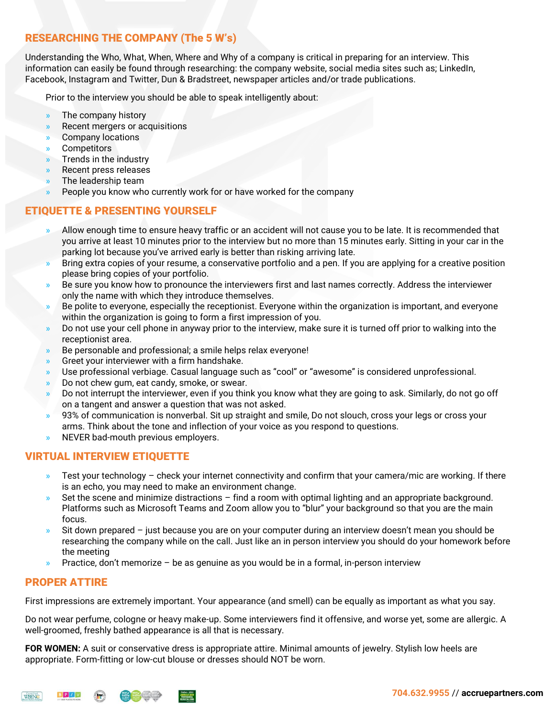# RESEARCHING THE COMPANY (The 5 W's)

Understanding the Who, What, When, Where and Why of a company is critical in preparing for an interview. This information can easily be found through researching: the company website, social media sites such as; LinkedIn, Facebook, Instagram and Twitter, Dun & Bradstreet, newspaper articles and/or trade publications.

Prior to the interview you should be able to speak intelligently about:

- » The company history
- » Recent mergers or acquisitions
- » Company locations
- » Competitors
- » Trends in the industry
- » Recent press releases
- » The leadership team
- » People you know who currently work for or have worked for the company

# ETIQUETTE & PRESENTING YOURSELF

- » Allow enough time to ensure heavy traffic or an accident will not cause you to be late. It is recommended that you arrive at least 10 minutes prior to the interview but no more than 15 minutes early. Sitting in your car in the parking lot because you've arrived early is better than risking arriving late.
- » Bring extra copies of your resume, a conservative portfolio and a pen. If you are applying for a creative position please bring copies of your portfolio.
- » Be sure you know how to pronounce the interviewers first and last names correctly. Address the interviewer only the name with which they introduce themselves.
- » Be polite to everyone, especially the receptionist. Everyone within the organization is important, and everyone within the organization is going to form a first impression of you.
- » Do not use your cell phone in anyway prior to the interview, make sure it is turned off prior to walking into the receptionist area.
- Be personable and professional; a smile helps relax everyone!
- » Greet your interviewer with a firm handshake.
- » Use professional verbiage. Casual language such as "cool" or "awesome" is considered unprofessional.
- » Do not chew gum, eat candy, smoke, or swear.
- » Do not interrupt the interviewer, even if you think you know what they are going to ask. Similarly, do not go off on a tangent and answer a question that was not asked.
- » 93% of communication is nonverbal. Sit up straight and smile, Do not slouch, cross your legs or cross your arms. Think about the tone and inflection of your voice as you respond to questions.
- » NEVER bad-mouth previous employers.

# VIRTUAL INTERVIEW ETIQUETTE

- $\lambda$  Test your technology check your internet connectivity and confirm that your camera/mic are working. If there is an echo, you may need to make an environment change.
- » Set the scene and minimize distractions find a room with optimal lighting and an appropriate background. Platforms such as Microsoft Teams and Zoom allow you to "blur" your background so that you are the main focus.
- » Sit down prepared just because you are on your computer during an interview doesn't mean you should be researching the company while on the call. Just like an in person interview you should do your homework before the meeting
- $\lambda$  Practice, don't memorize be as genuine as you would be in a formal, in-person interview

# PROPER ATTIRE

First impressions are extremely important. Your appearance (and smell) can be equally as important as what you say.

Do not wear perfume, cologne or heavy make-up. Some interviewers find it offensive, and worse yet, some are allergic. A well-groomed, freshly bathed appearance is all that is necessary.

**FOR WOMEN:** A suit or conservative dress is appropriate attire. Minimal amounts of jewelry. Stylish low heels are appropriate. Form-fitting or low-cut blouse or dresses should NOT be worn.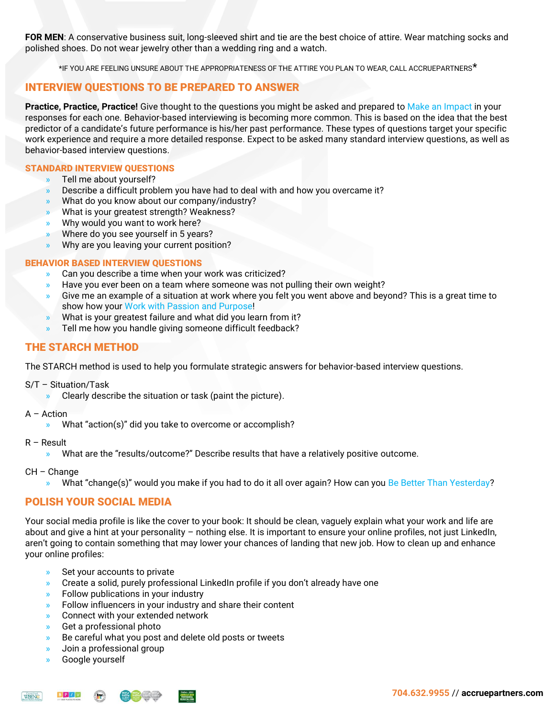**FOR MEN**: A conservative business suit, long-sleeved shirt and tie are the best choice of attire. Wear matching socks and polished shoes. Do not wear jewelry other than a wedding ring and a watch.

\*IF YOU ARE FEELING UNSURE ABOUT THE APPROPRIATENESS OF THE ATTIRE YOU PLAN TO WEAR, CALL ACCRUEPARTNERS $^\star$ 

## INTERVIEW QUESTIONS TO BE PREPARED TO ANSWER

**Practice, Practice, Practice!** Give thought to the questions you might be asked and prepared to Make an Impact in your responses for each one. Behavior-based interviewing is becoming more common. This is based on the idea that the best predictor of a candidate's future performance is his/her past performance. These types of questions target your specific work experience and require a more detailed response. Expect to be asked many standard interview questions, as well as behavior-based interview questions.

#### STANDARD INTERVIEW QUESTIONS

- » Tell me about yourself?
- » Describe a difficult problem you have had to deal with and how you overcame it?
- » What do you know about our company/industry?
- » What is your greatest strength? Weakness?
- » Why would you want to work here?
- » Where do you see yourself in 5 years?
- » Why are you leaving your current position?

## BEHAVIOR BASED INTERVIEW QUESTIONS

- » Can you describe a time when your work was criticized?
- » Have you ever been on a team where someone was not pulling their own weight?
- » Give me an example of a situation at work where you felt you went above and beyond? This is a great time to show how your Work with Passion and Purpose!
- » What is your greatest failure and what did you learn from it?
- » Tell me how you handle giving someone difficult feedback?

# THE STARCH METHOD

The STARCH method is used to help you formulate strategic answers for behavior-based interview questions.

#### S/T – Situation/Task

» Clearly describe the situation or task (paint the picture).

#### A – Action

» What "action(s)" did you take to overcome or accomplish?

#### R – Result

» What are the "results/outcome?" Describe results that have a relatively positive outcome.

#### $CH - Chanae$

» What "change(s)" would you make if you had to do it all over again? How can you Be Better Than Yesterday?

## POLISH YOUR SOCIAL MEDIA

Your social media profile is like the cover to your book: It should be clean, vaguely explain what your work and life are about and give a hint at your personality – nothing else. It is important to ensure your online profiles, not just LinkedIn, aren't going to contain something that may lower your chances of landing that new job. How to clean up and enhance your online profiles:

- » Set your accounts to private
- » Create a solid, purely professional LinkedIn profile if you don't already have one
- » Follow publications in your industry
- » Follow influencers in your industry and share their content
- » Connect with your extended network
- » Get a professional photo
- » Be careful what you post and delete old posts or tweets
- » Join a professional group
- » Google yourself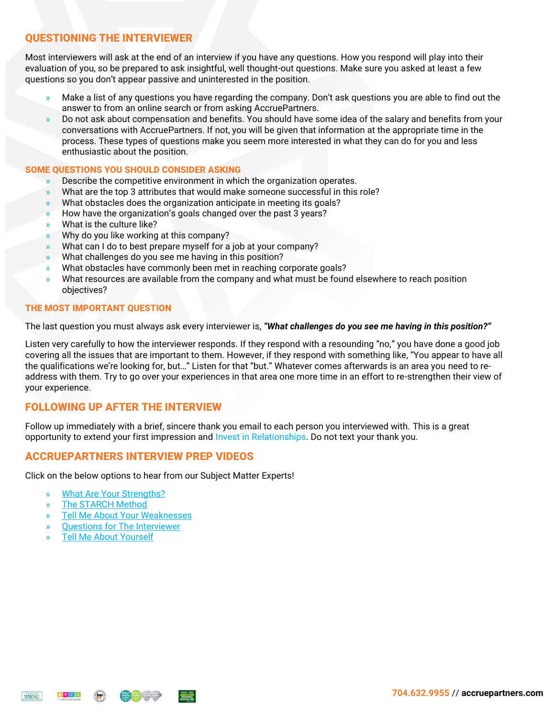# QUESTIONING THE INTERVIEWER

Most interviewers will ask at the end of an interview if you have any questions. How you respond will play into their evaluation of you, so be prepared to ask insightful, well thought-out questions. Make sure you asked at least a few questions so you don't appear passive and uninterested in the position.

- » Make a list of any questions you have regarding the company. Don't ask questions you are able to find out the answer to from an online search or from asking AccruePartners.
- » Do not ask about compensation and benefits. You should have some idea of the salary and benefits from your conversations with AccruePartners. If not, you will be given that information at the appropriate time in the process. These types of questions make you seem more interested in what they can do for you and less enthusiastic about the position.

#### SOME QUESTIONS YOU SHOULD CONSIDER ASKING

- » Describe the competitive environment in which the organization operates.
- » What are the top 3 attributes that would make someone successful in this role?
- » What obstacles does the organization anticipate in meeting its goals?
- » How have the organization's goals changed over the past 3 years?
- » What is the culture like?
- » Why do you like working at this company?
- » What can I do to best prepare myself for a job at your company?
- » What challenges do you see me having in this position?
- » What obstacles have commonly been met in reaching corporate goals?
- » What resources are available from the company and what must be found elsewhere to reach position objectives?

### THE MOST IMPORTANT QUESTION

#### The last question you must always ask every interviewer is, *"What challenges do you see me having in this position?"*

Listen very carefully to how the interviewer responds. If they respond with a resounding "no," you have done a good job covering all the issues that are important to them. However, if they respond with something like, "You appear to have all the qualifications we're looking for, but…" Listen for that "but." Whatever comes afterwards is an area you need to readdress with them. Try to go over your experiences in that area one more time in an effort to re-strengthen their view of your experience.

## FOLLOWING UP AFTER THE INTERVIEW

Follow up immediately with a brief, sincere thank you email to each person you interviewed with. This is a great opportunity to extend your first impression and Invest in Relationships. Do not text your thank you.

## ACCRUEPARTNERS INTERVIEW PREP VIDEOS

Click on the below options to hear from our Subject Matter Experts!

- » [What Are Your Strengths?](https://www.youtube.com/watch?v=10UuxQ1jgrk)
- » [The STARCH Method](https://www.youtube.com/watch?v=IrprVI_POB0&t=23s)
- » [Tell Me About Your Weaknesses](https://www.youtube.com/watch?v=Q27YQyfyQQ4&t=4s)
- » Questions for [The Interviewer](https://www.youtube.com/watch?v=55OH0NZrZ3w&t=40s)
- » [Tell Me About Yourself](https://www.youtube.com/watch?v=tX_uvAa7O40&t=13s)



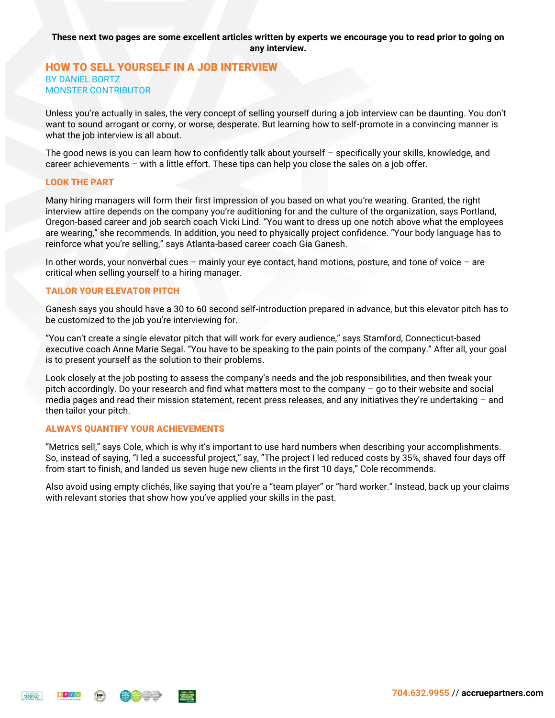### **These next two pages are some excellent articles written by experts we encourage you to read prior to going on any interview.**

## HOW TO SELL YOURSELF IN A JOB INTERVIEW BY DANIEL BORTZ MONSTER CONTRIBUTOR

Unless you're actually in sales, the very concept of selling yourself during a job interview can be daunting. You don't want to sound arrogant or corny, or worse, desperate. But learning how to self-promote in a convincing manner is what the job interview is all about.

The good news is you can learn how to confidently talk about yourself – specifically your skills, knowledge, and career achievements – with a little effort. These tips can help you close the sales on a job offer.

#### LOOK THE PART

Many hiring managers will form their first impression of you based on what you're wearing. Granted, the right interview attire depends on the company you're auditioning for and the culture of the organization, says Portland, Oregon-based career and job search coach Vicki Lind. "You want to dress up one notch above what the employees are wearing," she recommends. In addition, you need to physically project confidence. "Your body language has to reinforce what you're selling," says Atlanta-based career coach Gia Ganesh.

In other words, your nonverbal cues – mainly your eye contact, hand motions, posture, and tone of voice – are critical when selling yourself to a hiring manager.

#### TAILOR YOUR ELEVATOR PITCH

Ganesh says you should have a 30 to 60 second self-introduction prepared in advance, but this elevator pitch has to be customized to the job you're interviewing for.

"You can't create a single elevator pitch that will work for every audience," says Stamford, Connecticut-based executive coach Anne Marie Segal. "You have to be speaking to the pain points of the company." After all, your goal is to present yourself as the solution to their problems.

Look closely at the job posting to assess the company's needs and the job responsibilities, and then tweak your pitch accordingly. Do your research and find what matters most to the company – go to their website and social media pages and read their mission statement, recent press releases, and any initiatives they're undertaking – and then tailor your pitch.

#### ALWAYS QUANTIFY YOUR ACHIEVEMENTS

"Metrics sell," says Cole, which is why it's important to use hard numbers when describing your accomplishments. So, instead of saying, "I led a successful project," say, "The project I led reduced costs by 35%, shaved four days off from start to finish, and landed us seven huge new clients in the first 10 days," Cole recommends.

Also avoid using empty clichés, like saying that you're a "team player" or "hard worker." Instead, back up your claims with relevant stories that show how you've applied your skills in the past.

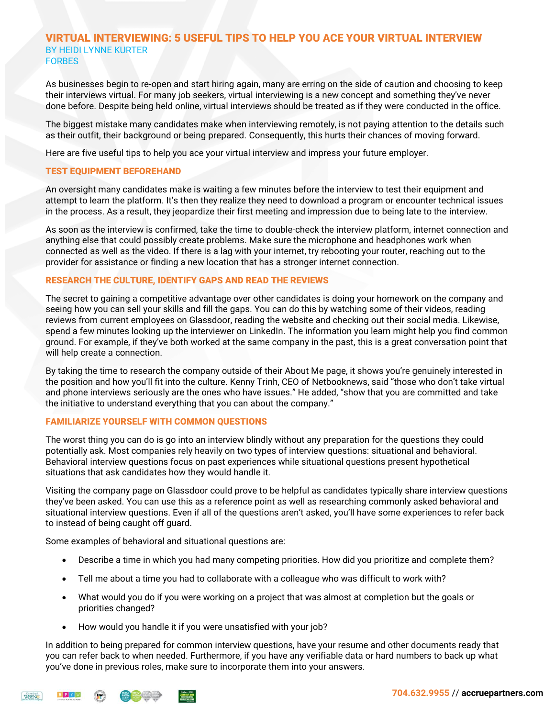#### VIRTUAL INTERVIEWING: 5 USEFUL TIPS TO HELP YOU ACE YOUR VIRTUAL INTERVIEW BY HEIDI LYNNE KURTER FORBES

As businesses begin to re-open and start hiring again, many are erring on the side of caution and choosing to keep their interviews virtual. For many job seekers, virtual interviewing is a new concept and something they've never done before. Despite being held online, virtual interviews should be treated as if they were conducted in the office.

The biggest mistake many candidates make when interviewing remotely, is not paying attention to the details such as their outfit, their background or being prepared. Consequently, this hurts their chances of moving forward.

Here are five useful tips to help you ace your virtual interview and impress your future employer.

#### TEST EQUIPMENT BEFOREHAND

An oversight many candidates make is waiting a few minutes before the interview to test their equipment and attempt to learn the platform. It's then they realize they need to download a program or encounter technical issues in the process. As a result, they jeopardize their first meeting and impression due to being late to the interview.

As soon as the interview is confirmed, take the time to double-check the interview platform, internet connection and anything else that could possibly create problems. Make sure the microphone and headphones work when connected as well as the video. If there is a lag with your internet, try rebooting your router, reaching out to the provider for assistance or finding a new location that has a stronger internet connection.

#### RESEARCH THE CULTURE, IDENTIFY GAPS AND READ THE REVIEWS

The secret to gaining a competitive advantage over other candidates is doing your homework on the company and seeing how you can sell your skills and fill the gaps. You can do this by watching some of their videos, reading reviews from current employees on Glassdoor, reading the website and checking out their social media. Likewise, spend a few minutes looking up the interviewer on LinkedIn. The information you learn might help you find common ground. For example, if they've both worked at the same company in the past, this is a great conversation point that will help create a connection.

By taking the time to research the company outside of their About Me page, it shows you're genuinely interested in the position and how you'll fit into the culture. Kenny Trinh, CEO of [Netbooknews](https://www.netbooknews.com/), said "those who don't take virtual and phone interviews seriously are the ones who have issues." He added, "show that you are committed and take the initiative to understand everything that you can about the company."

#### FAMILIARIZE YOURSELF WITH COMMON QUESTIONS

The worst thing you can do is go into an interview blindly without any preparation for the questions they could potentially ask. Most companies rely heavily on two types of interview questions: situational and behavioral. Behavioral interview questions focus on past experiences while situational questions present hypothetical situations that ask candidates how they would handle it.

Visiting the company page on Glassdoor could prove to be helpful as candidates typically share interview questions they've been asked. You can use this as a reference point as well as researching commonly asked behavioral and situational interview questions. Even if all of the questions aren't asked, you'll have some experiences to refer back to instead of being caught off guard.

Some examples of behavioral and situational questions are:

- Describe a time in which you had many competing priorities. How did you prioritize and complete them?
- Tell me about a time you had to collaborate with a colleague who was difficult to work with?
- What would you do if you were working on a project that was almost at completion but the goals or priorities changed?
- How would you handle it if you were unsatisfied with your job?

In addition to being prepared for common interview questions, have your resume and other documents ready that you can refer back to when needed. Furthermore, if you have any verifiable data or hard numbers to back up what you've done in previous roles, make sure to incorporate them into your answers.